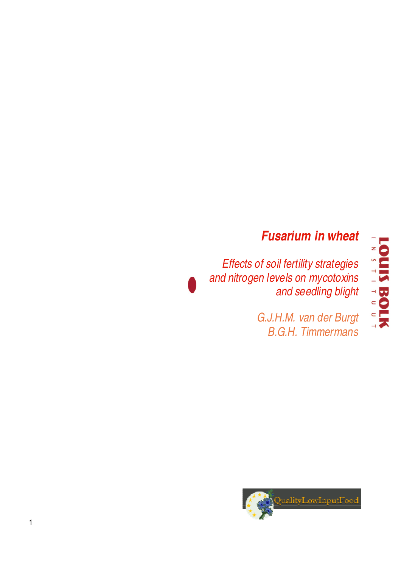## **Fusarium in wheat**

Effects of soil fertility strategies and nitrogen levels on mycotoxins and seedling blight

> G.J.H.M. van der Burgt B.G.H. Timmermans



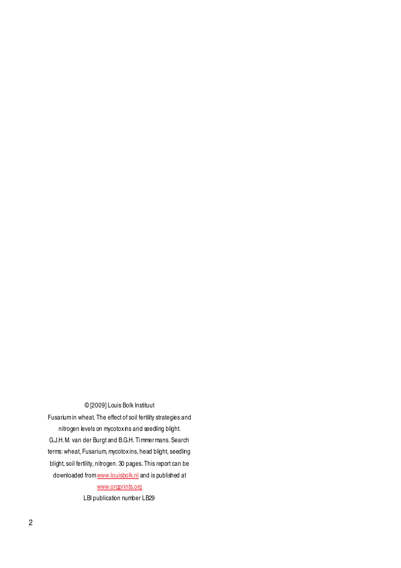#### © [2009] Louis Bolk Instituut

Fusarium in wheat. The effect of soil fertility strategies and nitrogen levels on mycotoxins and seedling blight. G.J.H.M. van der Burgt and B.G.H. Ti mmer mans. Search terms: wheat, Fusarium, mycotoxins, head blight, seedling blight, soil fertility, nitrogen. 30 pages. This report can be downloaded from www.louisbolk.nl and is published at www.orgprints.org

LBI publication number LB29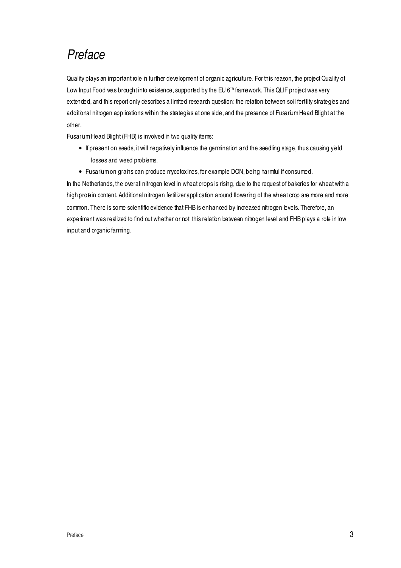## Preface

Quality plays an important role in further development of organic agriculture. For this reason, the project Quality of Low Input Food was brought into existence, supported by the EU 6<sup>th</sup> framework. This QLIF project was very extended, and this report only describes a limited research question: the relation between soil fertility strategies and additional nitrogen applications within the strategies at one side, and the presence of Fusarium Head Blight at the other.

Fusarium Head Blight (FHB) is involved in two quality items:

- If present on seeds, it will negatively influence the germination and the seedling stage, thus causing yield losses and weed problems.
- Fusarium on grains can produce mycotoxines, for example DON, being harmful if consumed.

In the Netherlands, the overall nitrogen level in wheat crops is rising, due to the request of bakeries for wheat with a high protein content. Additional nitrogen fertilizer application around flowering of the wheat crop are more and more common. There is some scientific evidence that FHB is enhanced by increased nitrogen levels. Therefore, an experiment was realized to find out whether or not this relation between nitrogen level and FHB plays a role in low input and organic farming.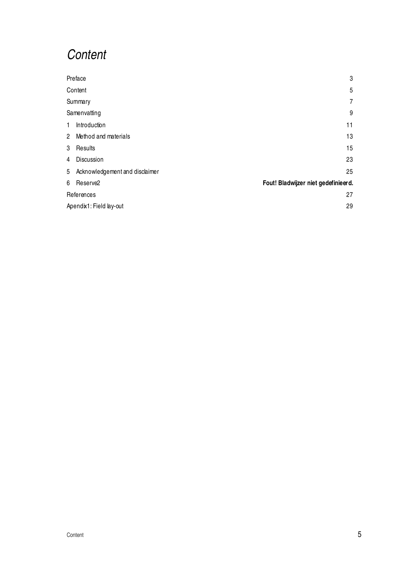## **Content**

|   | Preface                          | 3                                   |
|---|----------------------------------|-------------------------------------|
|   | Content                          | 5                                   |
|   | Summary                          | $\overline{7}$                      |
|   | Samenvatting                     | 9                                   |
| 1 | Introduction                     | 11                                  |
|   | 2 Method and materials           | 13                                  |
| 3 | Results                          | 15                                  |
| 4 | Discussion                       | 23                                  |
|   | 5 Acknowledgement and disclaimer | 25                                  |
| 6 | Reserve <sub>2</sub>             | Fout! Bladwijzer niet gedefinieerd. |
|   | References                       | 27                                  |
|   | Apendix1: Field lay-out          | 29                                  |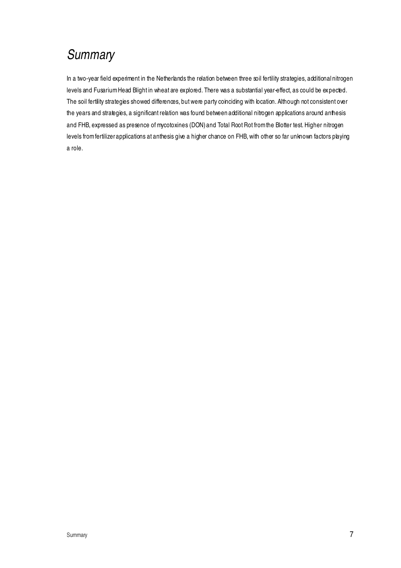# **Summary**

In a two-year field experiment in the Netherlands the relation between three soil fertility strategies, additional nitrogen levels and Fusarium Head Blight in wheat are explored. There was a substantial year-effect, as could be expected. The soil fertility strategies showed differences, but were party coinciding with location. Although not consistent over the years and strategies, a significant relation was found between additional nitrogen applications around anthesis and FHB, expressed as presence of mycotoxines (DON) and Total Root Rot from the Blotter test. Higher nitrogen levels from fertilizer applications at anthesis give a higher chance on FHB, with other so far unknown factors playing a role.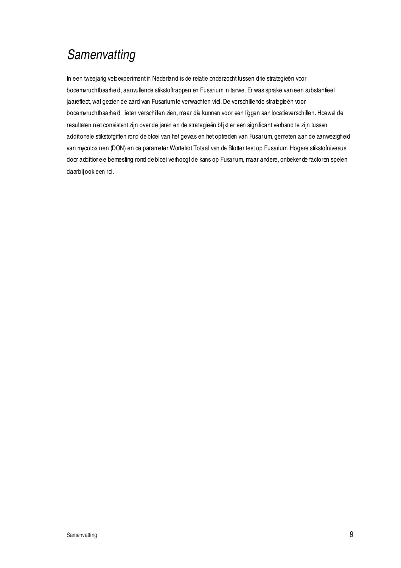# **Samenvatting**

In een tweejarig veldexperiment in Nederland is de relatie onderzocht tussen drie strategieën voor bodemvruchtbaarheid, aanvullende stikstoftrappen en Fusarium in tarwe. Er was sprake van een substantieel jaareffect, wat gezien de aard van Fusarium te verwachten viel. De verschillende strategieën voor bodemvruchtbaarheid lieten verschillen zien, maar die kunnen voor een liggen aan locatieverschillen. Hoewel de resultaten niet consistent zijn over de jaren en de strategieën blijkt er een significant verband te zijn tussen additionele stikstofgiften rond de bloei van het gewas en het optreden van Fusarium, gemeten aan de aanwezigheid van mycotoxinen (DON) en de parameter Wortelrot Totaal van de Blotter test op Fusarium. Hogere stikstofniveaus door additionele bemesting rond de bloei verhoogt de kans op Fusarium, maar andere, onbekende factoren spelen daarbij ook een rol.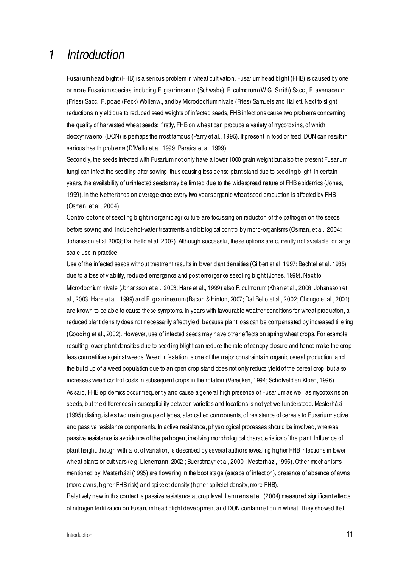### 1 Introduction

Fusarium head blight (FHB) is a serious problem in wheat cultivation. Fusarium head blight (FHB) is caused by one or more Fusarium species, including F. graminearum (Schwabe), F. culmorum (W.G. Smith) Sacc., F. avenaceum (Fries) Sacc., F. poae (Peck) Wollenw., and by Microdochium nivale (Fries) Samuels and Hallett. Next to slight reductions in yield due to reduced seed weights of infected seeds, FHB infections cause two problems concerning the quality of harvested wheat seeds: firstly, FHB on wheat can produce a variety of mycotoxins, of which deoxynivalenol (DON) is perhaps the most famous (Parry et al., 1995). If present in food or feed, DON can result in serious health problems (D'Mello et al. 1999; Peraica et al. 1999).

Secondly, the seeds infected with Fusarium not only have a lower 1000 grain weight but also the present Fusarium fungi can infect the seedling after sowing, thus causing less dense plant stand due to seedling blight. In certain years, the availability of uninfected seeds may be limited due to the widespread nature of FHB epidemics (Jones, 1999). In the Netherlands on average once every two years organic wheat seed production is affected by FHB (Osman, et al., 2004).

Control options of seedling blight in organic agriculture are focussing on reduction of the pathogen on the seeds before sowing and include hot-water treatments and biological control by micro-organisms (Osman, et al., 2004: Johansson et al. 2003; Dal Bello et al. 2002). Although successful, these options are currently not available for large scale use in practice.

Use of the infected seeds without treatment results in lower plant densities (Gilbert et al. 1997; Bechtel et al. 1985) due to a loss of viability, reduced emergence and post emergence seedling blight (Jones, 1999). Next to Microdochium nivale (Johansson et al., 2003; Hare et al., 1999) also F. culmorum (Khan et al., 2006; Johansson et al., 2003; Hare et al., 1999) and F. graminearum (Bacon & Hinton, 2007; Dal Bello et al., 2002; Chongo et al., 2001) are known to be able to cause these symptoms. In years with favourable weather conditions for wheat production, a reduced plant density does not necessarily affect yield, because plant loss can be compensated by increased tillering (Gooding et al., 2002). However, use of infected seeds may have other effects on spring wheat crops. For example resulting lower plant densities due to seedling blight can reduce the rate of canopy closure and hence make the crop less competitive against weeds. Weed infestation is one of the major constraints in organic cereal production, and the build up of a weed population due to an open crop stand does not only reduce yield of the cereal crop, but also increases weed control costs in subsequent crops in the rotation (Vereijken, 1994; Schotveld en Kloen, 1996). As said, FHB epidemics occur frequently and cause a general high presence of Fusarium as well as mycotoxins on seeds, but the differences in susceptibility between varieties and locations is not yet well understood. Mesterházi (1995) distinguishes two main groups of types, also called components, of resistance of cereals to Fusarium: active and passive resistance components. In active resistance, physiological processes should be involved, whereas passive resistance is avoidance of the pathogen, involving morphological characteristics of the plant. Influence of plant height, though with a lot of variation, is described by several authors revealing higher FHB infections in lower wheat plants or cultivars (e.g. Lienemann, 2002 ; Buerstmayr et al, 2000 ; Mesterházi, 1995). Other mechanisms mentioned by Mesterházi (1995) are flowering in the boot stage (escape of infection), presence of absence of awns (more awns, higher FHB risk) and spikelet density (higher spikelet density, more FHB).

Relatively new in this context is passive resistance at crop level. Lemmens at el. (2004) measured significant effects of nitrogen fertilization on Fusarium head blight development and DON contamination in wheat. They showed that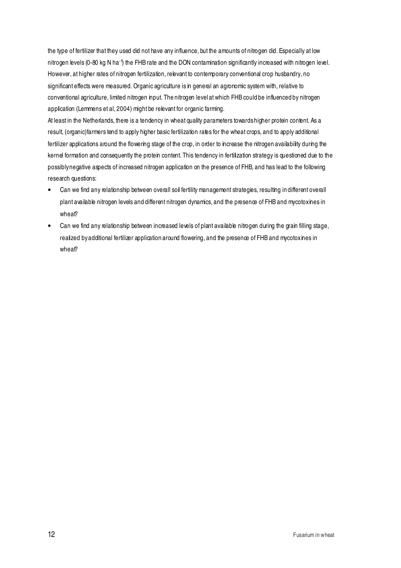the type of fertilizer that they used did not have any influence, but the amounts of nitrogen did. Especially at low nitrogen levels (0-80 kg N ha<sup>-1</sup>) the FHB rate and the DON contamination significantly increased with nitrogen level. However, at higher rates of nitrogen fertilization, relevant to contemporary conventional crop husbandry, no significant effects were measured. Organic agriculture is in general an agronomic system with, relative to conventional agriculture, limited nitrogen input. The nitrogen level at which FHB could be influenced by nitrogen application (Lemmens et al, 2004) might be relevant for organic farming.

At least in the Netherlands, there is a tendency in wheat quality parameters towards higher protein content. As a result, (organic)farmers tend to apply higher basic fertilization rates for the wheat crops, and to apply additional fertilizer applications around the flowering stage of the crop, in order to increase the nitrogen availability during the kernel formation and consequently the protein content. This tendency in fertilization strategy is questioned due to the possibly negative aspects of increased nitrogen application on the presence of FHB, and has lead to the following research questions:

- Can we find any relationship between overall soil fertility management strategies, resulting in different overall plant available nitrogen levels and different nitrogen dynamics, and the presence of FHB and mycotoxines in wheat?
- Can we find any relationship between increased levels of plant available nitrogen during the grain filling stage, realized by additional fertilizer application around flowering, and the presence of FHB and mycotoxines in wheat?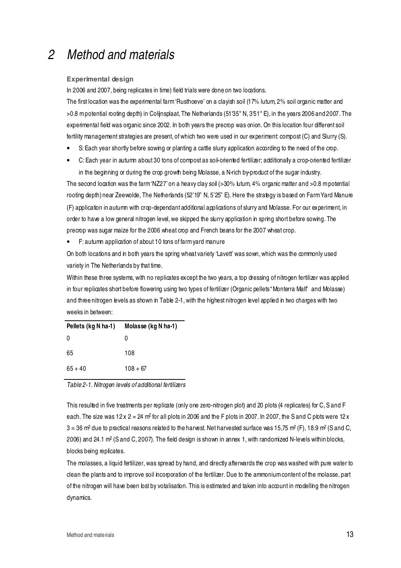### 2 Method and materials

#### **Experimental design**

In 2006 and 2007, being replicates in time) field trials were done on two locations.

The first location was the experimental farm 'Rusthoeve' on a clayish soil (17% lutum, 2% soil organic matter and >0.8 m potential rooting depth) in Colijnsplaat, The Netherlands (51'35" N, 3'51" E), in the years 2006 and 2007. The experimental field was organic since 2002. In both years the precrop was onion. On this location four different soil fertility management strategies are present, of which two were used in our experiment: compost (C) and Slurry (S).

- S: Each year shortly before sowing or planting a cattle slurry application according to the need of the crop.
- C: Each year in autumn about 30 tons of compost as soil-oriented fertilizer; additionally a crop-oriented fertilizer in the beginning or during the crop growth being Molasse, a N-rich by-product of the sugar industry.

The second location was the farm 'NZ27' on a heavy clay soil (>30% lutum, 4% organic matter and >0.8 m potential rooting depth) near Zeewolde, The Netherlands (52'19" N, 5'25" E). Here the strategy is based on Farm Yard Manure (F) application in autumn with crop-dependant additional applications of slurry and Molasse. For our experiment, in order to have a low general nitrogen level, we skipped the slurry application in spring short before sowing. The precrop was sugar maize for the 2006 wheat crop and French beans for the 2007 wheat crop.

• F: autumn application of about 10 tons of farm yard manure

On both locations and in both years the spring wheat variety 'Lavett' was sown, which was the commonly used variety in The Netherlands by that time.

Within these three systems, with no replicates except the two years, a top dressing of nitrogen fertilizer was applied in four replicates short before flowering using two types of fertilizer (Organic pellets " Monterra Malt" and Molasse) and three nitrogen levels as shown in Table 2-1, with the highest nitrogen level applied in two charges with two weeks in between:

| Pellets (kg N ha-1) | Molasse (kg N ha-1) |
|---------------------|---------------------|
| 0                   | 0                   |
| 65                  | 108                 |
| $65 + 40$           | $108 + 67$          |

Table 2-1. Nitrogen levels of additional fertilizers

This resulted in five treatments per replicate (only one zero-nitrogen plot) and 20 plots (4 replicates) for C, S and F each. The size was 12 x 2 = 24 m² for all plots in 2006 and the F plots in 2007. In 2007, the S and C plots were 12 x 3 = 36 m² due to practical reasons related to the harvest. Net harvested surface was 15,75 m² (F), 18.9 m² (S and C, 2006) and 24.1 m² (S and C, 2007). The field design is shown in annex 1, with randomized N-levels within blocks, blocks being replicates.

The molasses, a liquid fertilizer, was spread by hand, and directly afterwards the crop was washed with pure water to clean the plants and to improve soil incorporation of the fertilizer. Due to the ammonium content of the molasse, part of the nitrogen will have been lost by votalisation. This is estimated and taken into account in modelling the nitrogen dynamics.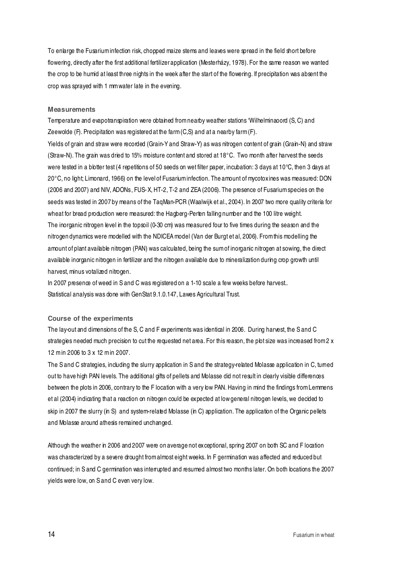To enlarge the Fusarium infection risk, chopped maize stems and leaves were spread in the field short before flowering, directly after the first additional fertilizer application (Mesterházy, 1978). For the same reason we wanted the crop to be humid at least three nights in the week after the start of the flowering. If precipitation was absent the crop was sprayed with 1 mm water late in the evening.

#### **Measurements**

Temperature and evapotranspiration were obtained from nearby weather stations 'Wilhelminaoord (S, C) and Zeewolde (F). Precipitation was registered at the farm  $(C, S)$  and at a nearby farm  $(F)$ . Yields of grain and straw were recorded (Grain-Y and Straw-Y) as was nitrogen content of grain (Grain-N) and straw (Straw-N). The grain was dried to 15% moisture content and stored at 18°C. Two month after harvest the seeds were tested in a blotter test (4 repetitions of 50 seeds on wet filter paper, incubation: 3 days at 10°C, then 3 days at 20°C, no light; Limonard, 1966) on the level of Fusarium infection. The amount of mycotoxines was measured: DON (2006 and 2007) and NIV, ADONs, FUS- X, HT-2, T-2 and ZEA (2006). The presence of Fusarium species on the seeds was tested in 2007 by means of the TaqMan-PCR (Waalwijk et al., 2004). In 2007 two more quality criteria for wheat for bread production were measured: the Hagberg-Perten falling number and the 100 litre weight. The inorganic nitrogen level in the topsoil (0-30 cm) was measured four to five times during the season and the nitrogen dynamics were modelled with the NDICEA model (Van der Burgt et al, 2006). From this modelling the amount of plant available nitrogen (PAN) was calculated, being the sum of inorganic nitrogen at sowing, the direct available inorganic nitrogen in fertilizer and the nitrogen available due to mineralization during crop growth until harvest, minus votalized nitrogen.

In 2007 presence of weed in S and C was registered on a 1-10 scale a few weeks before harvest.. Statistical analysis was done with GenStat 9.1.0.147, Lawes Agricultural Trust.

#### **Course of the experiments**

The lay-out and dimensions of the S, C and F experiments was identical in 2006. During harvest, the S and C strategies needed much precision to cut the requested net area. For this reason, the plot size was increased from 2 x 12 m in 2006 to 3 x 12 m in 2007.

The S and C strategies, including the slurry application in S and the strategy-related Molasse application in C, tumed out to have high PAN levels. The additional gifts of pellets and Molasse did not result in clearly visible differences between the plots in 2006, contrary to the F location with a very low PAN. Having in mind the findings from Lemmens et al (2004) indicating that a reaction on nitrogen could be expected at low general nitrogen levels, we decided to skip in 2007 the slurry (in S) and system-related Molasse (in C) application. The application of the Organic pellets and Molasse around athesis remained unchanged.

Although the weather in 2006 and 2007 were on average not exceptional, spring 2007 on both SC and F location was characterized by a severe drought from almost eight weeks. In F germination was affected and reduced but continued; in S and C germination was interrupted and resumed almost two months later. On both locations the 2007 yields were low, on S and C even very low.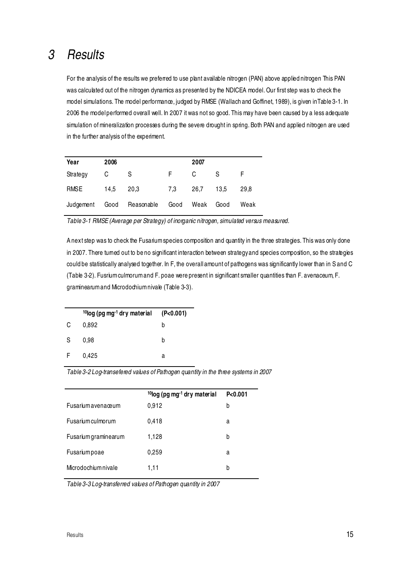### 3 Results

For the analysis of the results we preferred to use plant available nitrogen (PAN) above applied nitrogen This PAN was calculated out of the nitrogen dynamics as presented by the NDICEA model. Our first step was to check the model simulations. The model performance, judged by RMSE (Wallach and Goffinet, 1989), is given inTable 3-1. In 2006 the model performed overall well. In 2007 it was not so good. This may have been caused by a less adequate simulation of mineralization processes during the severe drought in spring. Both PAN and applied nitrogen are used in the further analysis of the experiment.

| Year      | 2006 |            |      | 2007 |      |      |
|-----------|------|------------|------|------|------|------|
| Strategy  | C    | S          | F.   | C    | S    |      |
| RMSE      | 14.5 | 20.3       | 7,3  | 26.7 | 13.5 | 29.8 |
| Judgement | Good | Reasonable | Good | Weak | Good | Weak |

Table 3-1 RMSE (Average per Strategy) of inorganic nitrogen, simulated versus measured.

A next step was to check the Fusarium species composition and quantity in the three strategies. This was only done in 2007. There turned out to be no significant interaction between strategy and species composition, so the strategies could be statistically analysed together. In F, the overall amount of pathogens was significantly lower than in S and C (Table 3-2). Fusrium culmorum and F. poae were present in significant smaller quantities than F. avenaceum, F. graminearum and Microdochium nivale (Table 3-3).

|    | $10$ log (pg mg <sup>-1</sup> dry material (P<0.001) |   |
|----|------------------------------------------------------|---|
| C  | 0,892                                                | b |
| S. | 0.98                                                 | b |
| F. | 0,425                                                | а |

Table 3-2 Log-transefered values of Pathogen quantity in the three systems in 2007

|                          | <sup>10</sup> log (pg mg <sup>-1</sup> dry material | P < 0.001 |
|--------------------------|-----------------------------------------------------|-----------|
| Fusarium avenaœum        | 0,912                                               | b         |
| <b>Fusarium</b> culmorum | 0,418                                               | а         |
| Fusarium graminearum     | 1,128                                               | b         |
| Fusariumpoae             | 0,259                                               | a         |
| Microdochium nivale      | 1,11                                                | b         |

Table 3-3 Log-transferred values of Pathogen quantity in 2007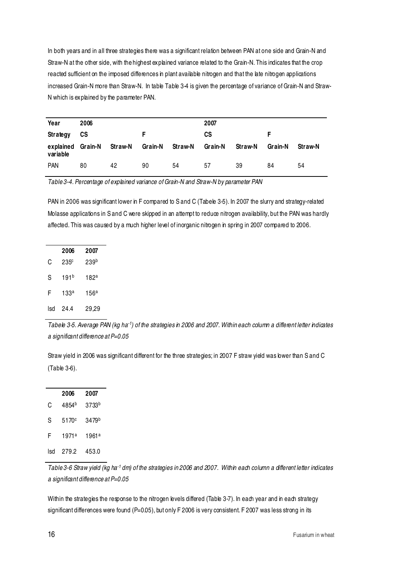In both years and in all three strategies there was a significant relation between PAN at one side and Grain-N and Straw-N at the other side, with the highest explained variance related to the Grain-N. This indicates that the crop reacted sufficient on the imposed differences in plant available nitrogen and that the late nitrogen applications increased Grain-N more than Straw-N. In table Table 3-4 is given the percentage of variance of Grain-N and Straw-N which is explained by the parameter PAN.

| Year                          | 2006 |         |         |         | 2007    |         |         |                |
|-------------------------------|------|---------|---------|---------|---------|---------|---------|----------------|
| Strategy                      | СS   |         |         |         | СS      |         |         |                |
| explained Grain-N<br>variable |      | Straw-N | Grain-N | Straw-N | Grain-N | Straw-N | Grain-N | <b>Straw-N</b> |
| <b>PAN</b>                    | 80   | 42      | 90      | 54      | 57      | 39      | 84      | 54             |

Table 3-4. Percentage of explained variance of Grain-N and Straw-N by parameter PAN

PAN in 2006 was significant lower in F compared to S and C (Tabele 3-5). In 2007 the slurry and strategy-related Molasse applications in S and C were skipped in an attempt to reduce nitrogen availability, but the PAN was hardly affected. This was caused by a much higher level of inorganic nitrogen in spring in 2007 compared to 2006.

|     | 2006             | 2007             |
|-----|------------------|------------------|
| C   | 235 <sup>c</sup> | 239 <sup>b</sup> |
| S   | 191 <sup>b</sup> | 182ª             |
| F   | 133a             | 156a             |
| lsd | 24.4             | 29,29            |

Tabele 3-5. Average PAN (kg ha<sup>-1</sup>) of the strategies in 2006 and 2007. Within each column a different letter indicates a significant difference at P=0.05

Straw yield in 2006 was significant different for the three strategies; in 2007 F straw yield was lower than S and C (Table 3-6).

|     | 2006  | 2007              |
|-----|-------|-------------------|
| C   | 4854b | 3733 <sup>b</sup> |
| S   | 5170c | 3479 <sup>b</sup> |
| F   | 1971a | 1961 <sup>a</sup> |
| lsd | 279.2 | 453.0             |

Table 3-6 Straw yield (kg ha<sup>-1</sup> dm) of the strategies in 2006 and 2007. Within each column a different letter indicates a significant difference at P=0.05

Within the strategies the response to the nitrogen levels differed (Table 3-7). In each year and in each strategy significant differences were found (P=0.05), but only F 2006 is very consistent. F 2007 was less strong in its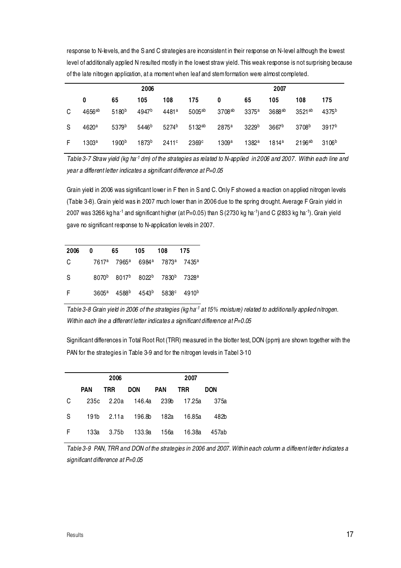response to N-levels, and the S and C strategies are inconsistent in their response on N-level although the lowest level of additionally applied N resulted mostly in the lowest straw yield. This weak response is not surprising because of the late nitrogen application, at a moment when leaf and stem formation were almost completed.

|   | 2006                 |                   |                   |                   |                   | 2007              |                   |                   |                   |                   |
|---|----------------------|-------------------|-------------------|-------------------|-------------------|-------------------|-------------------|-------------------|-------------------|-------------------|
|   | 0                    | 65                | 105               | 108               | 175               | 0                 | 65                | 105               | 108               | 175               |
| C | $4656$ <sup>ab</sup> | $5180^{b}$        | 4947 <sup>b</sup> | 4481ª             | $5005^{ab}$       | $3708^{\rm ab}$   | 3375a             | 3688ab            | 3521ab            | 4375 <sup>b</sup> |
| S | 4620a                | 5379b             | 5446 <sup>b</sup> | 5274 <sup>b</sup> | $5132^{\rm ab}$   | 2875 <sup>a</sup> | 3229 <sup>b</sup> | 3667 <sup>b</sup> | 3708 <sup>b</sup> | 3917 <sup>b</sup> |
| F | 1303a                | 1900 <sup>b</sup> | 1873b             | 2411c             | 2369 <sup>c</sup> | 1309a             | 1382a             | 1814a             | $2196^{ab}$       | 3106 <sup>b</sup> |

Table 3-7 Straw yield (kg ha<sup>-1</sup> dm) of the strategies as related to N-applied in 2006 and 2007. Within each line and year a different letter indicates a significant difference at P=0.05

Grain yield in 2006 was significant lower in F then in S and C. Only F showed a reaction on applied nitrogen levels (Table 3-8). Grain yield was in 2007 much lower than in 2006 due to the spring drought. Average F Grain yield in 2007 was 3266 kg ha-1 and significant higher (at P=0.05) than S (2730 kg ha-1) and C (2833 kg ha-1). Grain yield gave no significant response to N-application levels in 2007.

| 2006 | 0 | 65 | 105                                                                                       | -108 | - 175 |
|------|---|----|-------------------------------------------------------------------------------------------|------|-------|
| C    |   |    | 7617 <sup>a</sup> 7965 <sup>a</sup> 6984 <sup>a</sup> 7873 <sup>a</sup> 7435 <sup>a</sup> |      |       |
| S    |   |    | 8070b 8017b 8022b 7830b 7328a                                                             |      |       |
| F    |   |    | $3605^a$ $4588^b$ $4543^b$ $5838^c$ $4910^b$                                              |      |       |

Table 3-8 Grain yield in 2006 of the strategies (kg ha<sup>-1</sup> at 15% moisture) related to additionally applied nitrogen. Within each line a different letter indicates a significant difference at P=0.05

Significant differences in Total Root Rot (TRR) measured in the blotter test, DON (ppm) are shown together with the PAN for the strategies in Table 3-9 and for the nitrogen levels in Tabel 3-10

|   |            | 2006  |                        | 2007 |            |            |  |
|---|------------|-------|------------------------|------|------------|------------|--|
|   | <b>PAN</b> | TRR.  | DON                    | PAN  | <b>TRR</b> | <b>DON</b> |  |
| C |            |       | 235c 2.20a 146.4a 239b |      | 17.25a     | 375a       |  |
| S | 191b       |       | 2.11a 196.8b 182a      |      | 16.85a     | 482b       |  |
| F | 133a       | 3.75b | 133.9a                 | 156a | 16.38a     | 457ab      |  |

Table 3-9 PAN, TRR and DON of the strategies in 2006 and 2007. Within each column a different letter indicates a significant difference at P=0.05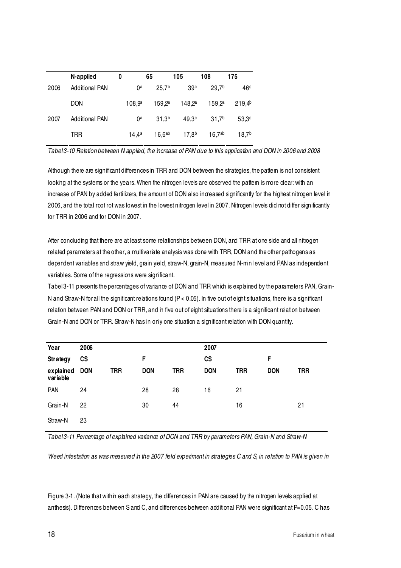|      | N-applied             | 0 |                    | 65                 | 105               | 108                | 175               |
|------|-----------------------|---|--------------------|--------------------|-------------------|--------------------|-------------------|
| 2006 | <b>Additional PAN</b> |   | 0ª                 | 25.7 <sup>b</sup>  | 39 <sup>c</sup>   | 29.7 <sup>b</sup>  | 46 <sup>c</sup>   |
|      | <b>DON</b>            |   | 108.9 <sup>a</sup> | 159.2a             | $148,2^a$         | 159.2 <sup>a</sup> | $219.4^{b}$       |
| 2007 | <b>Additional PAN</b> |   | 0ª                 | 31.3 <sup>b</sup>  | 49.3 <sup>c</sup> | 31.7 <sup>b</sup>  | 53.3 <sup>c</sup> |
|      | TRR                   |   | 14.4a              | 16.6 <sup>ab</sup> | 17.8 <sup>b</sup> | $16,7^{ab}$        | 18,7 <sup>b</sup> |

Tabel 3-10 Relation between N applied, the increase of PAN due to this application and DON in 2006 and 2008

Although there are significant differences in TRR and DON between the strategies, the pattern is not consistent looking at the systems or the years. When the nitrogen levels are observed the pattem is more clear: with an increase of PAN by added fertilizers, the amount of DON also increased significantly for the highest nitrogen level in 2006, and the total root rot was lowest in the lowest nitrogen level in 2007. Nitrogen levels did not differ significantly for TRR in 2006 and for DON in 2007.

After concluding that there are at least some relationships between DON, and TRR at one side and all nitrogen related parameters at the other, a multivariate analysis was done with TRR, DON and the other pathogens as dependent variables and straw yield, grain yield, straw-N, grain-N, measured N-min level and PAN as independent variables. Some of the regressions were significant.

Tabel 3-11 presents the percentages of variance of DON and TRR which is explained by the parameters PAN, Grain-N and Straw-N for all the significant relations found (P < 0.05). In five out of eight situations, there is a significant relation between PAN and DON or TRR, and in five out of eight situations there is a significant relation between Grain-N and DON or TRR. Straw-N has in only one situation a significant relation with DON quantity.

| Year                  | 2006       |            |            |            | 2007          |            |            |            |
|-----------------------|------------|------------|------------|------------|---------------|------------|------------|------------|
| Strategy              | <b>CS</b>  |            | F.         |            | $\mathsf{cs}$ |            | F          |            |
| explained<br>variable | <b>DON</b> | <b>TRR</b> | <b>DON</b> | <b>TRR</b> | <b>DON</b>    | <b>TRR</b> | <b>DON</b> | <b>TRR</b> |
| <b>PAN</b>            | 24         |            | 28         | 28         | 16            | 21         |            |            |
| Grain-N               | 22         |            | 30         | 44         |               | 16         |            | 21         |
| Straw-N               | 23         |            |            |            |               |            |            |            |

Tabel 3-11 Percentage of explained variance of DON and TRR by parameters PAN, Grain-N and Straw-N

Weed infestation as was measured in the 2007 field experiment in strategies C and S, in relation to PAN is given in

Figure 3-1. (Note that within each strategy, the differences in PAN are caused by the nitrogen levels applied at anthesis). Differences between S and C, and differences between additional PAN were significant at P=0.05. C has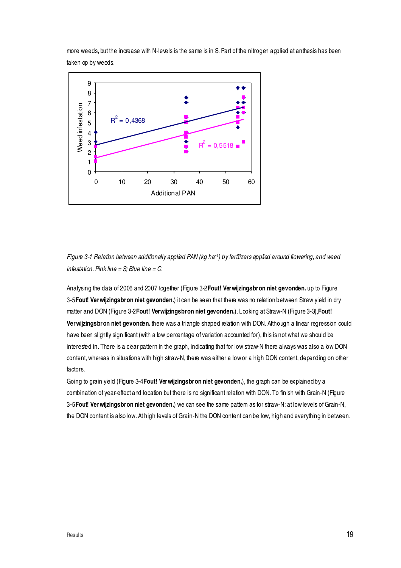more weeds, but the increase with N-levels is the same is in S. Part of the nitrogen applied at anthesis has been taken op by weeds.



Figure 3-1 Relation between additionally applied PAN (kg ha<sup>-1</sup>) by fertilizers applied around flowering, and weed infestation. Pink line =  $S$ ; Blue line =  $C$ .

Analysing the data of 2006 and 2007 together (Figure 3-2**Fout! Verwijzingsbron niet gevonden.** up to Figure 3-5**Fout! Verwijzingsbron niet gevonden.**) it can be seen that there was no relation between Straw yield in dry matter and DON (Figure 3-2**Fout! Verwijzingsbron niet gevonden.**). Looking at Straw-N (Figure 3-3),**Fout! Verwijzingsbron niet gevonden.** there was a triangle shaped relation with DON. Although a linear regression could have been slightly significant (with a low percentage of variation accounted for), this is not what we should be interested in. There is a clear pattern in the graph, indicating that for low straw-N there always was also a low DON content, whereas in situations with high straw-N, there was either a low or a high DON content, depending on other factors.

Going to grain yield (Figure 3-4**Fout! Verwijzingsbron niet gevonden.**), the graph can be explained by a combination of year-effect and location but there is no significant relation with DON. To finish with Grain-N (Figure 3-5**Fout! Verwijzingsbron niet gevonden.**) we can see the same pattern as for straw-N: at low levels of Grain-N, the DON content is also low. At high levels of Grain-N the DON content can be low, high and everything in between.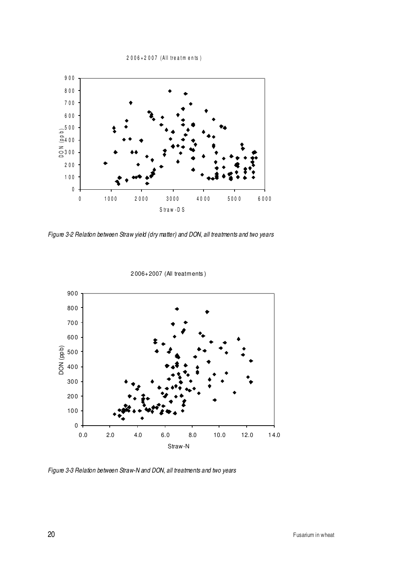2 0 0 6 + 2 0 0 7 (All treatments)



Figure 3-2 Relation between Straw yield (dry matter) and DON, all treatments and two years



2 006+2007 (All treatments )

Figure 3-3 Relation between Straw-N and DON, all treatments and two years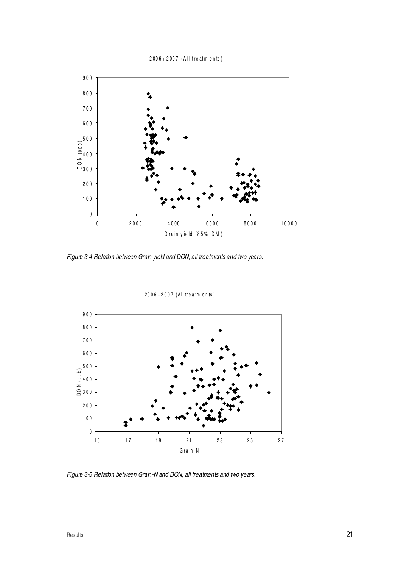#### 2 0 0 6 + 2 0 0 7 (All treatments)



Figure 3-4 Relation between Grain yield and DON, all treatments and two years.

2006+2007 (All treatments)



Figure 3-5 Relation between Grain-N and DON, all treatments and two years.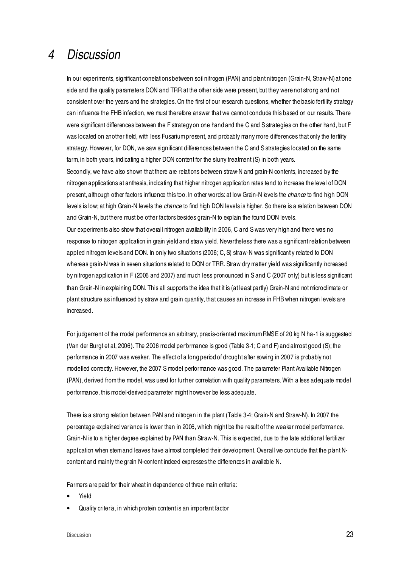### 4 Discussion

In our experiments, significant correlations between soil nitrogen (PAN) and plant nitrogen (Grain-N, Straw-N) at one side and the quality parameters DON and TRR at the other side were present, but they were not strong and not consistent over the years and the strategies. On the first of our research questions, whether the basic fertility strategy can influence the FHB infection, we must therefore answer that we cannot condude this based on our results. There were significant differences between the F strategy on one hand and the C and S strategies on the other hand, but F was located on another field, with less Fusarium present, and probably many more differences that only the fertility strategy. However, for DON, we saw significant differences between the C and S strategies located on the same farm, in both years, indicating a higher DON content for the slurry treatment (S) in both years.

Secondly, we have also shown that there are relations between straw-N and grain-N contents, increased by the nitrogen applications at anthesis, indicating that higher nitrogen application rates tend to increase the level of DON present, although other factors influence this too. In other words: at low Grain-N levels the *chance* to find high DON levels is low; at high Grain-N levels the *chance* to find high DON levels is higher. So there is a relation between DON and Grain-N, but there must be other factors besides grain-N to explain the found DON levels.

Our experiments also show that overall nitrogen availability in 2006, C and S was very high and there was no response to nitrogen application in grain yield and straw yield. Nevertheless there was a significant relation between applied nitrogen levels and DON. In only two situations (2006; C, S) straw-N was significantly related to DON whereas grain-N was in seven situations related to DON or TRR. Straw dry matter yield was significantly increased by nitrogen application in F (2006 and 2007) and much less pronounced in S and C (2007 only) but is less significant than Grain-N in explaining DON. This all supports the idea that it is (at least partly) Grain-N and not microclimate or plant structure as influenced by straw and grain quantity, that causes an increase in FHB when nitrogen levels are increased.

For judgement of the model performance an arbitrary, praxis-oriented maximum RMSE of 20 kg N ha-1 is suggested (Van der Burgt et al, 2006). The 2006 model performance is good (Table 3-1; C and F) and almost good (S); the performance in 2007 was weaker. The effect of a long period of drought after sowing in 2007 is probably not modelled correctly. However, the 2007 S model performance was good. The parameter Plant Available Nitrogen (PAN), derived from the model, was used for further correlation with quality parameters. With a less adequate model performance, this model-derived parameter might however be less adequate.

There is a strong relation between PAN and nitrogen in the plant (Table 3-4; Grain-N and Straw-N). In 2007 the percentage explained variance is lower than in 2006, which might be the result of the weaker model performance. Grain-N is to a higher degree explained by PAN than Straw-N. This is expected, due to the late additional fertilizer application when stem and leaves have almost completed their development. Overall we conclude that the plant Ncontent and mainly the grain N-content indeed expresses the differences in available N.

Farmers are paid for their wheat in dependence of three main criteria:

- Yield
- Quality criteria, in which protein content is an important factor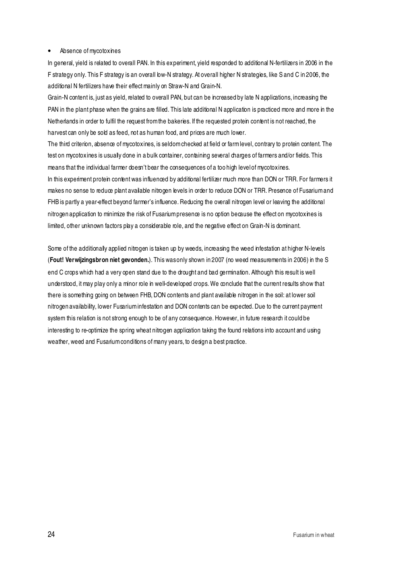#### • Absence of mycotoxines

In general, yield is related to overall PAN. In this experiment, yield responded to additional N-fertilizers in 2006 in the F strategy only. This F strategy is an overall low-N strategy. At overall higher N strategies, like S and C in 2006, the additional N fertilizers have their effect mainly on Straw-N and Grain-N.

Grain-N content is, just as yield, related to overall PAN, but can be increased by late N applications, increasing the PAN in the plant phase when the grains are filled. This late additional N application is practiced more and more in the Netherlands in order to fulfil the request from the bakeries. If the requested protein content is not reached, the harvest can only be sold as feed, not as human food, and prices are much lower.

The third criterion, absence of mycotoxines, is seldom checked at field or farm level, contrary to protein content. The test on mycotoxines is usually done in a bulk container, containing several charges of farmers and/or fields. This means that the individual farmer doesn't bear the consequences of a too high level of mycotoxines. In this experiment protein content was influenced by additional fertilizer much more than DON or TRR. For farmers it makes no sense to reduce plant available nitrogen levels in order to reduce DON or TRR. Presence of Fusarium and FHB is partly a year-effect beyond farmer's influence. Reducing the overall nitrogen level or leaving the additional nitrogen application to minimize the risk of Fusarium presence is no option because the effect on mycotoxines is

Some of the additionally applied nitrogen is taken up by weeds, increasing the weed infestation at higher N-levels (**Fout! Verwijzingsbron niet gevonden.**). This was only shown in 2007 (no weed measurements in 2006) in the S end C crops which had a very open stand due to the drought and bad germination. Although this result is well understood, it may play only a minor role in well-developed crops. We conclude that the current results show that there is something going on between FHB, DON contents and plant available nitrogen in the soil: at lower soil nitrogen availability, lower Fusarium infestation and DON contents can be expected. Due to the current payment system this relation is not strong enough to be of any consequence. However, in future research it could be interesting to re-optimize the spring wheat nitrogen application taking the found relations into account and using

limited, other unknown factors play a considerable role, and the negative effect on Grain-N is dominant.

weather, weed and Fusarium conditions of many years, to design a best practice.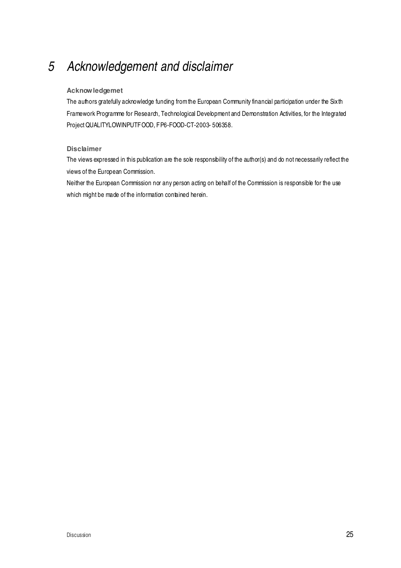# 5 Acknowledgement and disclaimer

#### **Acknowledgemet**

The authors gratefully acknowledge funding from the European Community financial participation under the Sixth Framework Programme for Research, Technological Development and Demonstration Activities, for the Integrated Project QUALITYLOWINPUTFOOD, FP6-FOOD-CT-2003- 506358.

#### **Disclaimer**

The views expressed in this publication are the sole responsibility of the author(s) and do not necessarily reflect the views of the European Commission.

Neither the European Commission nor any person acting on behalf of the Commission is responsible for the use which might be made of the information contained herein.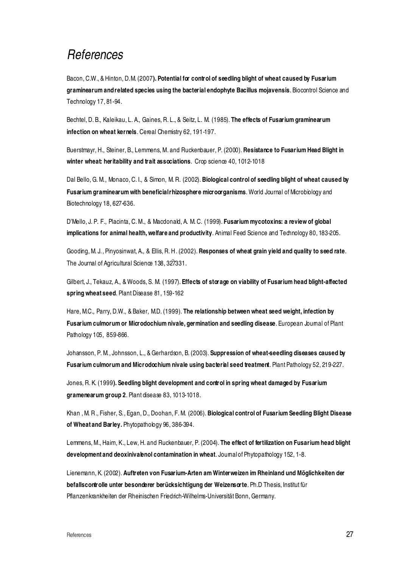### References

Bacon, C.W., & Hinton, D.M. (2007**). Potential for control of seedling blight of wheat caused by Fusarium graminearum and related species using the bacterial endophyte Bacillus mojavensis**. Biocontrol Science and Technology 17, 81-94.

Bechtel, D. B., Kaleikau, L. A., Gaines, R. L., & Seitz, L. M. (1985). **The effects of Fusarium graminearum infection on wheat kernels**. Cereal Chemistry 62, 191-197.

Buerstmayr, H., Steiner, B., Lemmens, M. and Ruckenbauer, P. (2000). **Resistance to Fusarium Head Blight in winter wheat: heritability and trait associations**. Crop science 40, 1012-1018

Dal Bello, G. M., Monaco, C. I., & Simon, M. R. (2002). **Biological control of seedling blight of wheat caused by Fusarium graminearum with beneficial rhizosphere microorganisms**. World Journal of Microbiology and Biotechnology 18, 627-636.

D'Mello, J. P. F., Placinta, C. M., & Macdonald, A. M. C. (1999). **Fusarium mycotoxins: a review of global implications for animal health, welfare and productivity**. Animal Feed Science and Technology 80, 183-205.

Gooding, M. J., Pinyosinwat, A., & Ellis, R. H. (2002). **Responses of wheat grain yield and quality to seed rate**. The Journal of Agricultural Science 138, 327331.

Gilbert, J., Tekauz, A., & Woods, S. M. (1997). **Effects of storage on viability of Fusarium head blight-affected spring wheat seed**. Plant Disease 81, 159-162

Hare, M.C., Parry, D.W., & Baker, M.D. (1999). **The relationship between wheat seed weight, infection by Fusarium culmorum or Microdochium nivale, germination and seedling disease**. European Journal of Plant Pathology 105, 859-866.

Johansson, P. M., Johnsson, L., & Gerhardson, B. (2003). **Suppression of wheat-seedling diseases caused by Fusarium culmorum and Microdochium nivale using bacterial seed treatment**. Plant Pathology 52, 219-227.

Jones, R. K. (1999**). Seedling blight development and control in spring wheat damaged by Fusarium gramenearum group 2**. Plant disease 83, 1013-1018.

Khan , M. R., Fisher, S., Egan, D., Doohan, F. M. (2006). **Biological control of Fusarium Seedling Blight Disease of Wheat and Barley.** Phytopathology 96, 386-394.

Lemmens, M., Haim, K., Lew, H. and Ruckenbauer, P. (2004). **The effect of fertilization on Fusarium head blight development and deoxinivalenol contamination in wheat**. Journal of Phytopathology 152, 1-8.

Lienemann, K. (2002). **Auftreten von Fusarium-Arten am Winterweizen im Rheinland und Möglichkeiten der befallscontrolle unter besonderer berücksichtigung der Weizensorte**. Ph.D Thesis, Institut für Pflanzenkrankheiten der Rheinischen Friedrich-Wilhelms-Universität Bonn, Germany.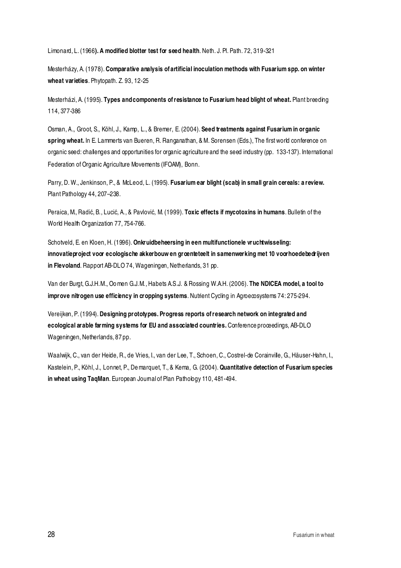Limonard, L. (1966**). A modified blotter test for seed health**. Neth. J. Pl. Path. 72, 319-321

Mesterházy, A. (1978). **Comparative analysis of artificial inoculation methods with Fusarium spp. on winter wheat varieties**. Phytopath. Z. 93, 12-25

Mesterházi, A. (1995). **Types and components of resistance to Fusarium head blight of wheat.** Plant breeding 114, 377-386

Osman, A., Groot, S., Köhl, J., Kamp, L., & Bremer, E. (2004). **Seed treatments against Fusarium in organic spring wheat.** In E. Lammerts van Bueren, R. Ranganathan, & M. Sorensen (Eds.), The first world conference on organic seed: challenges and opportunities for organic agriculture and the seed industry (pp. 133-137). International Federation of Organic Agriculture Movements (IFOAM), Bonn.

Parry, D. W., Jenkinson, P., & McLeod, L. (1995). **Fusarium ear blight (scab) in small grain cereals: a review.** Plant Pathology 44, 207–238.

Peraica, M., Radić, B., Lucić, A., & Pavlović, M. (1999). **Toxic effects if mycotoxins in humans**. Bulletin of the World Health Organization 77, 754-766.

Schotveld, E. en Kloen, H. (1996). **Onkruidbeheersing in een multifunctionele vruchtwisseling: innovatieproject voor ecologische akkerbouw en groenteteelt in samenwerking met 10 voorhoedebedrijven in Flevoland**. Rapport AB-DLO 74, Wageningen, Netherlands, 31 pp.

Van der Burgt, G.J.H.M., Oo men G.J.M., Habets A.S.J. & Rossing W.A.H. (2006). **The NDICEA model, a tool to improve nitrogen use efficiency in cropping systems**. Nutrient Cycling in Agroecosystems 74: 275-294.

Vereijken, P. (1994). **Designing prototypes. Progress reports of research network on integrated and ecological arable farming systems for EU and associated countries.** Conference proceedings, AB-DLO Wageningen, Netherlands, 87 pp.

Waalwijk, C., van der Heide, R., de Vries, I., van der Lee, T., Schoen, C., Costrel-de Corainville, G., Häuser-Hahn, I., Kastelein, P., Köhl, J., Lonnet, P., De marquet, T., & Kema, G. (2004). **Quantitative detection of Fusarium species in wheat using TaqMan**. European Journal of Plan Pathology 110, 481-494.